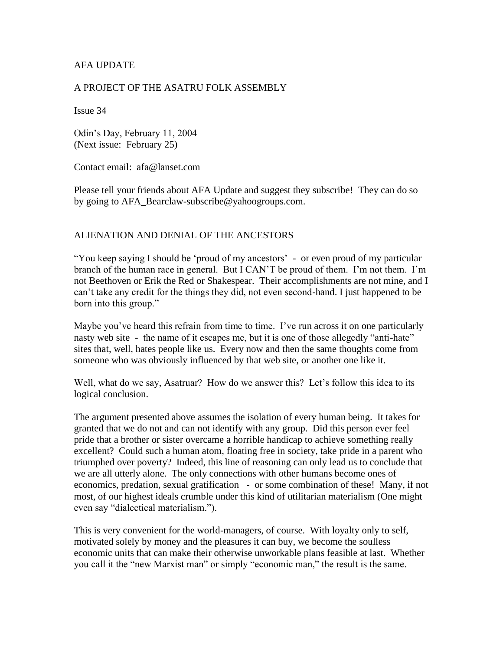### AFA UPDATE

#### A PROJECT OF THE ASATRU FOLK ASSEMBLY

Issue 34

Odin's Day, February 11, 2004 (Next issue: February 25)

Contact email: afa@lanset.com

Please tell your friends about AFA Update and suggest they subscribe! They can do so by going to AFA\_Bearclaw-subscribe@yahoogroups.com.

#### ALIENATION AND DENIAL OF THE ANCESTORS

"You keep saying I should be 'proud of my ancestors' - or even proud of my particular branch of the human race in general. But I CAN'T be proud of them. I'm not them. I'm not Beethoven or Erik the Red or Shakespear. Their accomplishments are not mine, and I can't take any credit for the things they did, not even second-hand. I just happened to be born into this group."

Maybe you've heard this refrain from time to time. I've run across it on one particularly nasty web site - the name of it escapes me, but it is one of those allegedly "anti-hate" sites that, well, hates people like us. Every now and then the same thoughts come from someone who was obviously influenced by that web site, or another one like it.

Well, what do we say, Asatruar? How do we answer this? Let's follow this idea to its logical conclusion.

The argument presented above assumes the isolation of every human being. It takes for granted that we do not and can not identify with any group. Did this person ever feel pride that a brother or sister overcame a horrible handicap to achieve something really excellent? Could such a human atom, floating free in society, take pride in a parent who triumphed over poverty? Indeed, this line of reasoning can only lead us to conclude that we are all utterly alone. The only connections with other humans become ones of economics, predation, sexual gratification - or some combination of these! Many, if not most, of our highest ideals crumble under this kind of utilitarian materialism (One might even say "dialectical materialism.").

This is very convenient for the world-managers, of course. With loyalty only to self, motivated solely by money and the pleasures it can buy, we become the soulless economic units that can make their otherwise unworkable plans feasible at last. Whether you call it the "new Marxist man" or simply "economic man," the result is the same.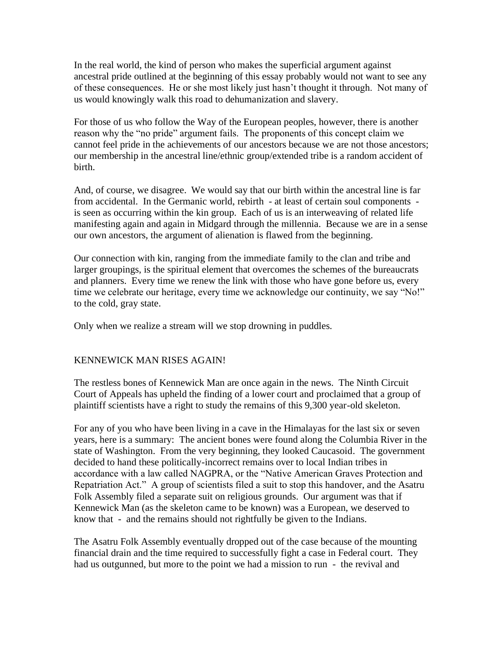In the real world, the kind of person who makes the superficial argument against ancestral pride outlined at the beginning of this essay probably would not want to see any of these consequences. He or she most likely just hasn't thought it through. Not many of us would knowingly walk this road to dehumanization and slavery.

For those of us who follow the Way of the European peoples, however, there is another reason why the "no pride" argument fails. The proponents of this concept claim we cannot feel pride in the achievements of our ancestors because we are not those ancestors; our membership in the ancestral line/ethnic group/extended tribe is a random accident of birth.

And, of course, we disagree. We would say that our birth within the ancestral line is far from accidental. In the Germanic world, rebirth - at least of certain soul components is seen as occurring within the kin group. Each of us is an interweaving of related life manifesting again and again in Midgard through the millennia. Because we are in a sense our own ancestors, the argument of alienation is flawed from the beginning.

Our connection with kin, ranging from the immediate family to the clan and tribe and larger groupings, is the spiritual element that overcomes the schemes of the bureaucrats and planners. Every time we renew the link with those who have gone before us, every time we celebrate our heritage, every time we acknowledge our continuity, we say "No!" to the cold, gray state.

Only when we realize a stream will we stop drowning in puddles.

## KENNEWICK MAN RISES AGAIN!

The restless bones of Kennewick Man are once again in the news. The Ninth Circuit Court of Appeals has upheld the finding of a lower court and proclaimed that a group of plaintiff scientists have a right to study the remains of this 9,300 year-old skeleton.

For any of you who have been living in a cave in the Himalayas for the last six or seven years, here is a summary: The ancient bones were found along the Columbia River in the state of Washington. From the very beginning, they looked Caucasoid. The government decided to hand these politically-incorrect remains over to local Indian tribes in accordance with a law called NAGPRA, or the "Native American Graves Protection and Repatriation Act." A group of scientists filed a suit to stop this handover, and the Asatru Folk Assembly filed a separate suit on religious grounds. Our argument was that if Kennewick Man (as the skeleton came to be known) was a European, we deserved to know that - and the remains should not rightfully be given to the Indians.

The Asatru Folk Assembly eventually dropped out of the case because of the mounting financial drain and the time required to successfully fight a case in Federal court. They had us outgunned, but more to the point we had a mission to run - the revival and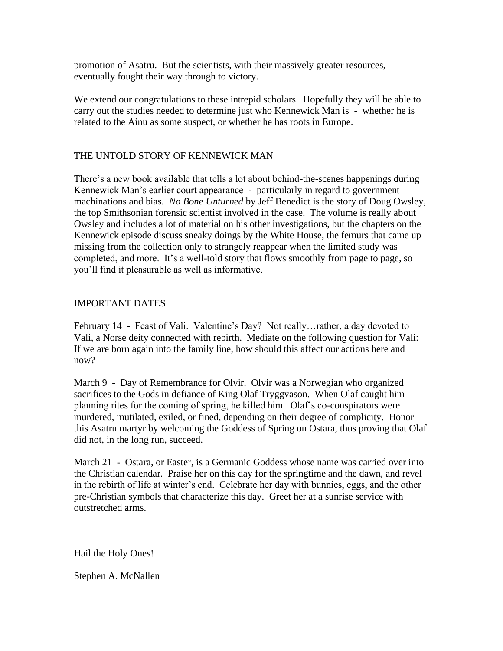promotion of Asatru. But the scientists, with their massively greater resources, eventually fought their way through to victory.

We extend our congratulations to these intrepid scholars. Hopefully they will be able to carry out the studies needed to determine just who Kennewick Man is - whether he is related to the Ainu as some suspect, or whether he has roots in Europe.

# THE UNTOLD STORY OF KENNEWICK MAN

There's a new book available that tells a lot about behind-the-scenes happenings during Kennewick Man's earlier court appearance - particularly in regard to government machinations and bias. *No Bone Unturned* by Jeff Benedict is the story of Doug Owsley, the top Smithsonian forensic scientist involved in the case. The volume is really about Owsley and includes a lot of material on his other investigations, but the chapters on the Kennewick episode discuss sneaky doings by the White House, the femurs that came up missing from the collection only to strangely reappear when the limited study was completed, and more. It's a well-told story that flows smoothly from page to page, so you'll find it pleasurable as well as informative.

### IMPORTANT DATES

February 14 - Feast of Vali. Valentine's Day? Not really…rather, a day devoted to Vali, a Norse deity connected with rebirth. Mediate on the following question for Vali: If we are born again into the family line, how should this affect our actions here and now?

March 9 - Day of Remembrance for Olvir. Olvir was a Norwegian who organized sacrifices to the Gods in defiance of King Olaf Tryggvason. When Olaf caught him planning rites for the coming of spring, he killed him. Olaf's co-conspirators were murdered, mutilated, exiled, or fined, depending on their degree of complicity. Honor this Asatru martyr by welcoming the Goddess of Spring on Ostara, thus proving that Olaf did not, in the long run, succeed.

March 21 - Ostara, or Easter, is a Germanic Goddess whose name was carried over into the Christian calendar. Praise her on this day for the springtime and the dawn, and revel in the rebirth of life at winter's end. Celebrate her day with bunnies, eggs, and the other pre-Christian symbols that characterize this day. Greet her at a sunrise service with outstretched arms.

Hail the Holy Ones!

Stephen A. McNallen